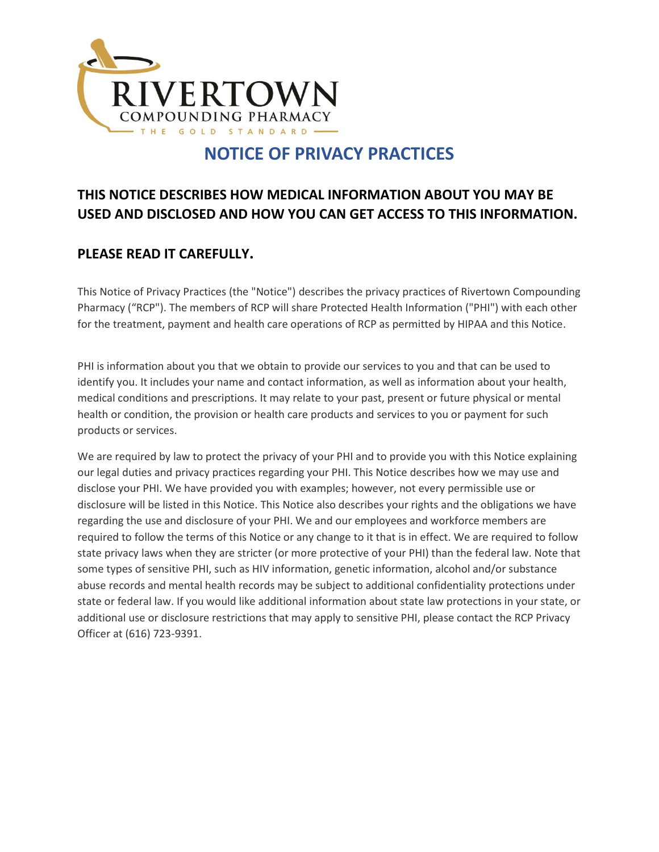

# **NOTICE OF PRIVACY PRACTICES**

#### **THIS NOTICE DESCRIBES HOW MEDICAL INFORMATION ABOUT YOU MAY BE USED AND DISCLOSED AND HOW YOU CAN GET ACCESS TO THIS INFORMATION.**

#### **PLEASE READ IT CAREFULLY.**

This Notice of Privacy Practices (the "Notice") describes the privacy practices of Rivertown Compounding Pharmacy ("RCP"). The members of RCP will share Protected Health Information ("PHI") with each other for the treatment, payment and health care operations of RCP as permitted by HIPAA and this Notice.

PHI is information about you that we obtain to provide our services to you and that can be used to identify you. It includes your name and contact information, as well as information about your health, medical conditions and prescriptions. It may relate to your past, present or future physical or mental health or condition, the provision or health care products and services to you or payment for such products or services.

We are required by law to protect the privacy of your PHI and to provide you with this Notice explaining our legal duties and privacy practices regarding your PHI. This Notice describes how we may use and disclose your PHI. We have provided you with examples; however, not every permissible use or disclosure will be listed in this Notice. This Notice also describes your rights and the obligations we have regarding the use and disclosure of your PHI. We and our employees and workforce members are required to follow the terms of this Notice or any change to it that is in effect. We are required to follow state privacy laws when they are stricter (or more protective of your PHI) than the federal law. Note that some types of sensitive PHI, such as HIV information, genetic information, alcohol and/or substance abuse records and mental health records may be subject to additional confidentiality protections under state or federal law. If you would like additional information about state law protections in your state, or additional use or disclosure restrictions that may apply to sensitive PHI, please contact the RCP Privacy Officer at (616) 723-9391.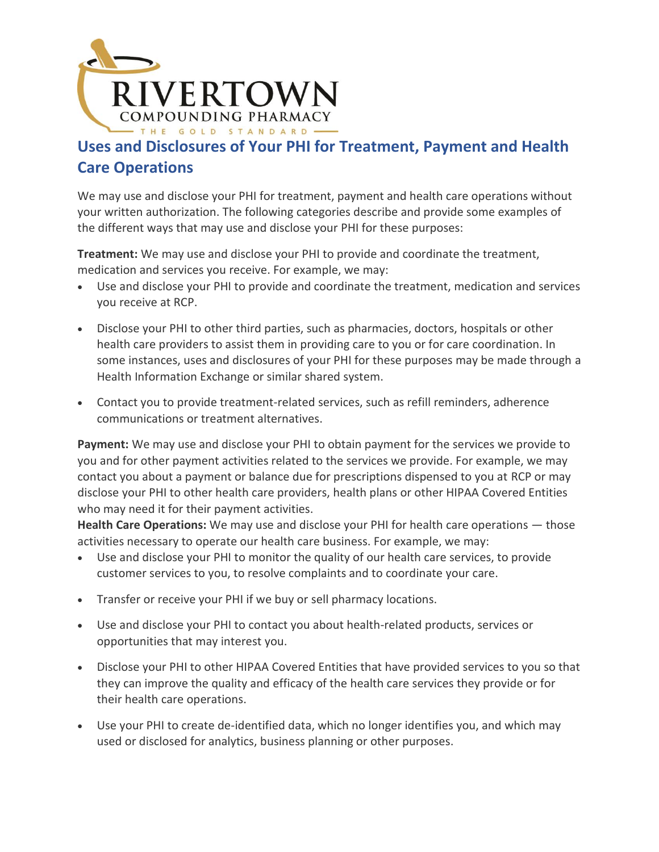

## **Uses and Disclosures of Your PHI for Treatment, Payment and Health Care Operations**

We may use and disclose your PHI for treatment, payment and health care operations without your written authorization. The following categories describe and provide some examples of the different ways that may use and disclose your PHI for these purposes:

**Treatment:** We may use and disclose your PHI to provide and coordinate the treatment, medication and services you receive. For example, we may:

- Use and disclose your PHI to provide and coordinate the treatment, medication and services you receive at RCP.
- Disclose your PHI to other third parties, such as pharmacies, doctors, hospitals or other health care providers to assist them in providing care to you or for care coordination. In some instances, uses and disclosures of your PHI for these purposes may be made through a Health Information Exchange or similar shared system.
- Contact you to provide treatment-related services, such as refill reminders, adherence communications or treatment alternatives.

**Payment:** We may use and disclose your PHI to obtain payment for the services we provide to you and for other payment activities related to the services we provide. For example, we may contact you about a payment or balance due for prescriptions dispensed to you at RCP or may disclose your PHI to other health care providers, health plans or other HIPAA Covered Entities who may need it for their payment activities.

**Health Care Operations:** We may use and disclose your PHI for health care operations — those activities necessary to operate our health care business. For example, we may:

- Use and disclose your PHI to monitor the quality of our health care services, to provide customer services to you, to resolve complaints and to coordinate your care.
- Transfer or receive your PHI if we buy or sell pharmacy locations.
- Use and disclose your PHI to contact you about health-related products, services or opportunities that may interest you.
- Disclose your PHI to other HIPAA Covered Entities that have provided services to you so that they can improve the quality and efficacy of the health care services they provide or for their health care operations.
- Use your PHI to create de-identified data, which no longer identifies you, and which may used or disclosed for analytics, business planning or other purposes.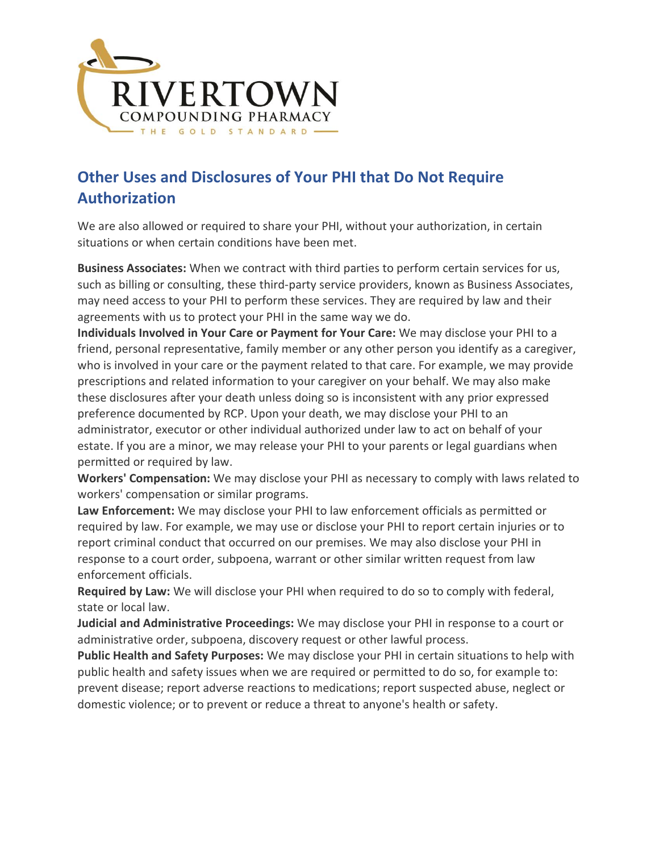

# **Other Uses and Disclosures of Your PHI that Do Not Require Authorization**

We are also allowed or required to share your PHI, without your authorization, in certain situations or when certain conditions have been met.

**Business Associates:** When we contract with third parties to perform certain services for us, such as billing or consulting, these third-party service providers, known as Business Associates, may need access to your PHI to perform these services. They are required by law and their agreements with us to protect your PHI in the same way we do.

**Individuals Involved in Your Care or Payment for Your Care:** We may disclose your PHI to a friend, personal representative, family member or any other person you identify as a caregiver, who is involved in your care or the payment related to that care. For example, we may provide prescriptions and related information to your caregiver on your behalf. We may also make these disclosures after your death unless doing so is inconsistent with any prior expressed preference documented by RCP. Upon your death, we may disclose your PHI to an administrator, executor or other individual authorized under law to act on behalf of your estate. If you are a minor, we may release your PHI to your parents or legal guardians when permitted or required by law.

**Workers' Compensation:** We may disclose your PHI as necessary to comply with laws related to workers' compensation or similar programs.

**Law Enforcement:** We may disclose your PHI to law enforcement officials as permitted or required by law. For example, we may use or disclose your PHI to report certain injuries or to report criminal conduct that occurred on our premises. We may also disclose your PHI in response to a court order, subpoena, warrant or other similar written request from law enforcement officials.

**Required by Law:** We will disclose your PHI when required to do so to comply with federal, state or local law.

**Judicial and Administrative Proceedings:** We may disclose your PHI in response to a court or administrative order, subpoena, discovery request or other lawful process.

**Public Health and Safety Purposes:** We may disclose your PHI in certain situations to help with public health and safety issues when we are required or permitted to do so, for example to: prevent disease; report adverse reactions to medications; report suspected abuse, neglect or domestic violence; or to prevent or reduce a threat to anyone's health or safety.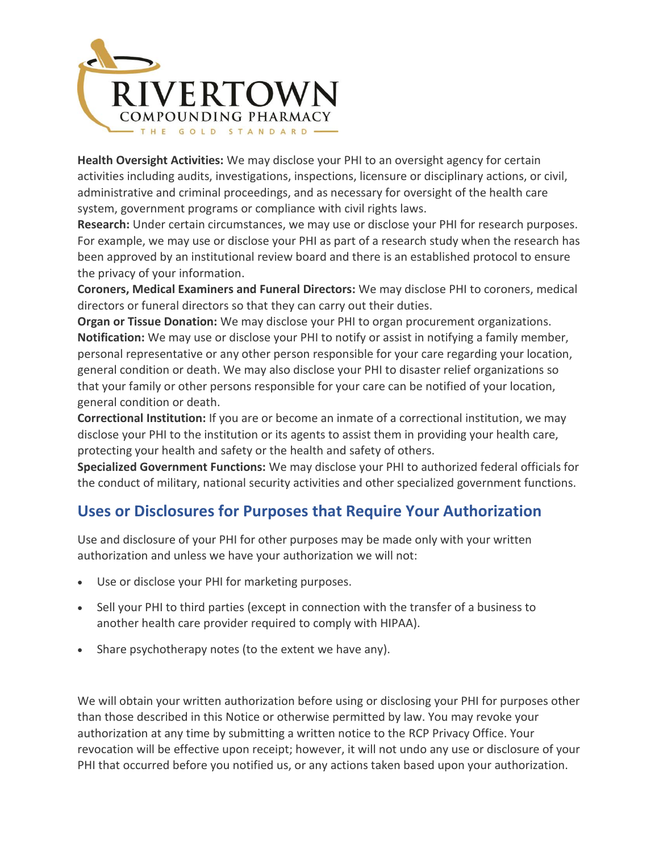

**Health Oversight Activities:** We may disclose your PHI to an oversight agency for certain activities including audits, investigations, inspections, licensure or disciplinary actions, or civil, administrative and criminal proceedings, and as necessary for oversight of the health care system, government programs or compliance with civil rights laws.

**Research:** Under certain circumstances, we may use or disclose your PHI for research purposes. For example, we may use or disclose your PHI as part of a research study when the research has been approved by an institutional review board and there is an established protocol to ensure the privacy of your information.

**Coroners, Medical Examiners and Funeral Directors:** We may disclose PHI to coroners, medical directors or funeral directors so that they can carry out their duties.

**Organ or Tissue Donation:** We may disclose your PHI to organ procurement organizations. **Notification:** We may use or disclose your PHI to notify or assist in notifying a family member, personal representative or any other person responsible for your care regarding your location, general condition or death. We may also disclose your PHI to disaster relief organizations so that your family or other persons responsible for your care can be notified of your location, general condition or death.

**Correctional Institution:** If you are or become an inmate of a correctional institution, we may disclose your PHI to the institution or its agents to assist them in providing your health care, protecting your health and safety or the health and safety of others.

**Specialized Government Functions:** We may disclose your PHI to authorized federal officials for the conduct of military, national security activities and other specialized government functions.

## **Uses or Disclosures for Purposes that Require Your Authorization**

Use and disclosure of your PHI for other purposes may be made only with your written authorization and unless we have your authorization we will not:

- Use or disclose your PHI for marketing purposes.
- Sell your PHI to third parties (except in connection with the transfer of a business to another health care provider required to comply with HIPAA).
- Share psychotherapy notes (to the extent we have any).

We will obtain your written authorization before using or disclosing your PHI for purposes other than those described in this Notice or otherwise permitted by law. You may revoke your authorization at any time by submitting a written notice to the RCP Privacy Office. Your revocation will be effective upon receipt; however, it will not undo any use or disclosure of your PHI that occurred before you notified us, or any actions taken based upon your authorization.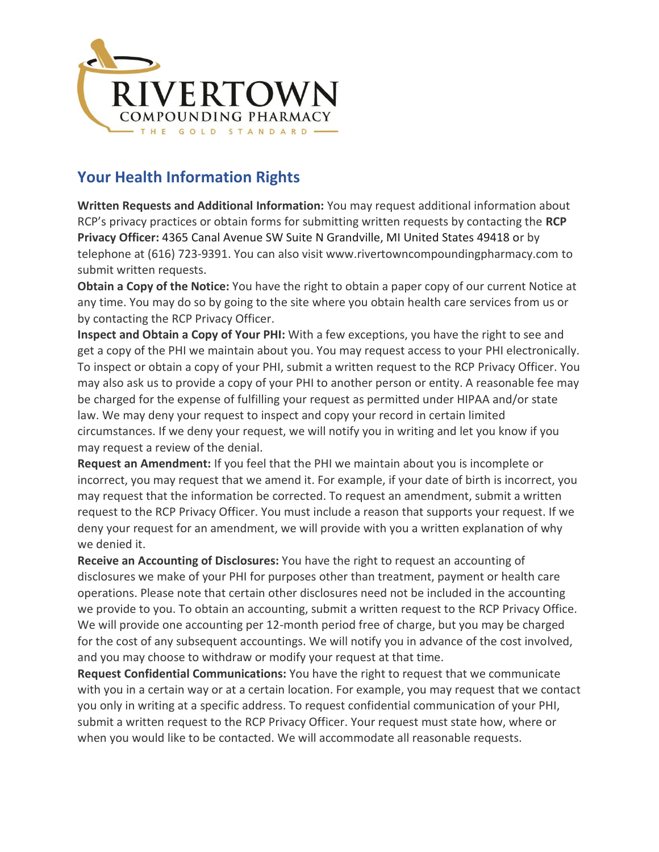

# **Your Health Information Rights**

**Written Requests and Additional Information:** You may request additional information about RCP's privacy practices or obtain forms for submitting written requests by contacting the **RCP Privacy Officer:** 4365 Canal Avenue SW Suite N Grandville, MI United States 49418 or by telephone at (616) 723-9391. You can also visit www.rivertowncompoundingpharmacy.com to submit written requests.

**Obtain a Copy of the Notice:** You have the right to obtain a paper copy of our current Notice at any time. You may do so by going to the site where you obtain health care services from us or by contacting the RCP Privacy Officer.

**Inspect and Obtain a Copy of Your PHI:** With a few exceptions, you have the right to see and get a copy of the PHI we maintain about you. You may request access to your PHI electronically. To inspect or obtain a copy of your PHI, submit a written request to the RCP Privacy Officer. You may also ask us to provide a copy of your PHI to another person or entity. A reasonable fee may be charged for the expense of fulfilling your request as permitted under HIPAA and/or state law. We may deny your request to inspect and copy your record in certain limited circumstances. If we deny your request, we will notify you in writing and let you know if you may request a review of the denial.

**Request an Amendment:** If you feel that the PHI we maintain about you is incomplete or incorrect, you may request that we amend it. For example, if your date of birth is incorrect, you may request that the information be corrected. To request an amendment, submit a written request to the RCP Privacy Officer. You must include a reason that supports your request. If we deny your request for an amendment, we will provide with you a written explanation of why we denied it.

**Receive an Accounting of Disclosures:** You have the right to request an accounting of disclosures we make of your PHI for purposes other than treatment, payment or health care operations. Please note that certain other disclosures need not be included in the accounting we provide to you. To obtain an accounting, submit a written request to the RCP Privacy Office. We will provide one accounting per 12-month period free of charge, but you may be charged for the cost of any subsequent accountings. We will notify you in advance of the cost involved, and you may choose to withdraw or modify your request at that time.

**Request Confidential Communications:** You have the right to request that we communicate with you in a certain way or at a certain location. For example, you may request that we contact you only in writing at a specific address. To request confidential communication of your PHI, submit a written request to the RCP Privacy Officer. Your request must state how, where or when you would like to be contacted. We will accommodate all reasonable requests.